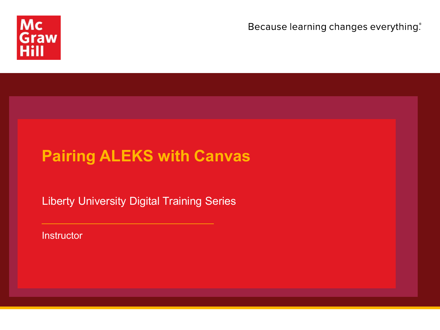

Because learning changes everything.

## **Pairing ALEKS with Canvas**

Liberty University Digital Training Series

**Instructor**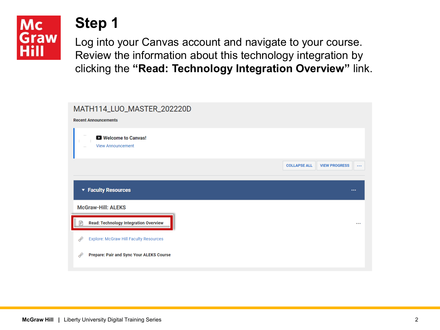## **Mc** Graw

#### **Step 1**

Log into your Canvas account and navigate to your course. Review the information about this technology integration by clicking the **"Read: Technology Integration Overview"** link.

| MATH114_LUO_MASTER_202220D<br><b>Recent Announcements</b> |                                                         |
|-----------------------------------------------------------|---------------------------------------------------------|
| Welcome to Canvas!<br><b>View Announcement</b>            |                                                         |
|                                                           | <b>COLLAPSE ALL</b><br><b>VIEW PROGRESS</b><br>$\cdots$ |
| ▼ Faculty Resources                                       | $\cdots$                                                |
| <b>McGraw-Hill: ALEKS</b>                                 |                                                         |
| <b>Read: Technology Integration Overview</b><br>P         |                                                         |
|                                                           |                                                         |
| Explore: McGraw Hill Faculty Resources<br>É               |                                                         |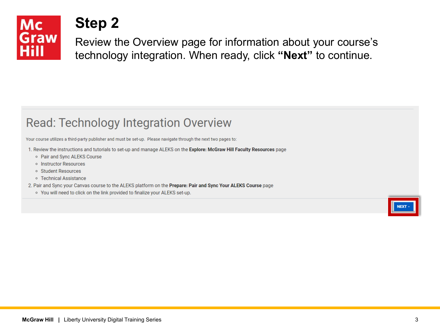

Review the Overview page for information about your course's technology integration. When ready, click **"Next"** to continue.

#### **Read: Technology Integration Overview**

Your course utilizes a third-party publisher and must be set-up. Please navigate through the next two pages to:

- 1. Review the instructions and tutorials to set-up and manage ALEKS on the Explore: McGraw Hill Faculty Resources page
	- Pair and Sync ALEKS Course
	- o Instructor Resources
	- o Student Resources
	- Technical Assistance
- 2. Pair and Sync your Canvas course to the ALEKS platform on the Prepare: Pair and Sync Your ALEKS Course page
	- o You will need to click on the link provided to finalize your ALEKS set-up.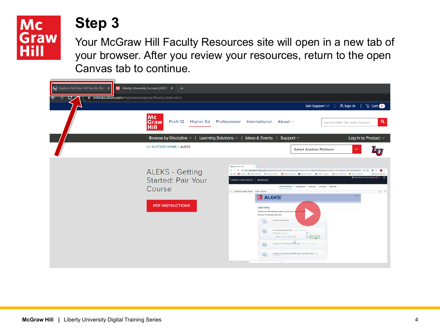#### **Mc** Graw Hill

#### **Step 3**

Your McGraw Hill Faculty Resources site will open in a new tab of your browser. After you review your resources, return to the open Canvas tab to continue.

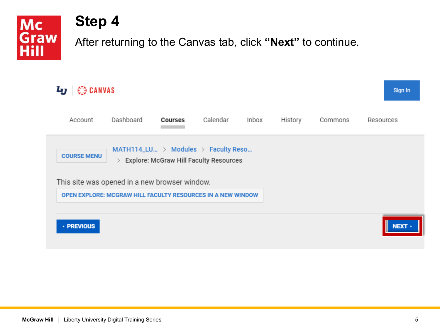**Mc** Graw Hill

#### **Step 4**

After returning to the Canvas tab, click **"Next"** to continue.

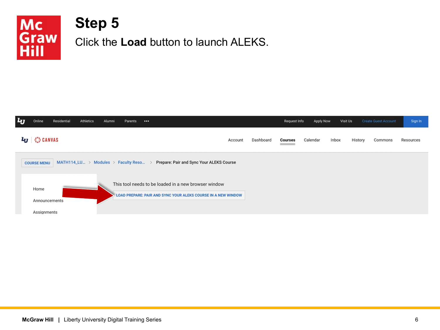

#### **Step 5** Click the **Load** button to launch ALEKS.

| $\mathbf{L}_{\mathbf{U}}$<br>Athletics<br>Residential<br>Online<br>Alumni<br>Parents<br>                                                       |         |           | Request Info   | Apply Now | Visit Us |         | <b>Create Guest Account</b> | Sign In   |
|------------------------------------------------------------------------------------------------------------------------------------------------|---------|-----------|----------------|-----------|----------|---------|-----------------------------|-----------|
| $L_J$ $\otimes$ canvas                                                                                                                         | Account | Dashboard | <b>Courses</b> | Calendar  | Inbox    | History | Commons                     | Resources |
| MATH114_LU > Modules > Faculty Reso ><br>Prepare: Pair and Sync Your ALEKS Course<br><b>COURSE MENU</b>                                        |         |           |                |           |          |         |                             |           |
| This tool needs to be loaded in a new browser window<br>Home<br>LOAD PREPARE: PAIR AND SYNC YOUR ALEKS COURSE IN A NEW WINDOW<br>Announcements |         |           |                |           |          |         |                             |           |
| Assignments                                                                                                                                    |         |           |                |           |          |         |                             |           |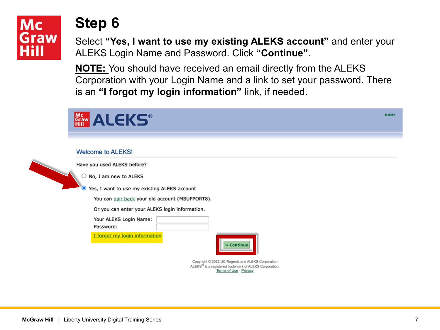

Select **"Yes, I want to use my existing ALEKS account"** and enter your ALEKS Login Name and Password. Click **"Continue"**.

**NOTE:** You should have received an email directly from the ALEKS Corporation with your Login Name and a link to set your password. There is an **"I forgot my login information"** link, if needed.

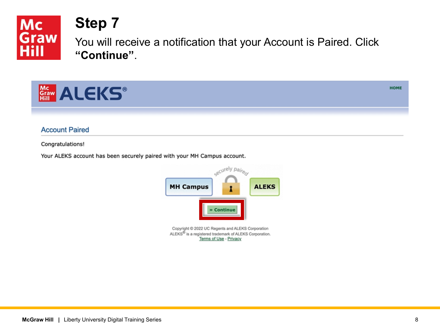

You will receive a notification that your Account is Paired. Click **"Continue"**.



**Account Paired** 

Congratulations!

Your ALEKS account has been securely paired with your MH Campus account.



**HOME**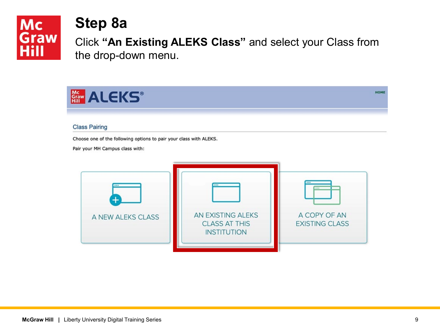

#### **Step 8a**

Click **"An Existing ALEKS Class"** and select your Class from the drop-down menu.

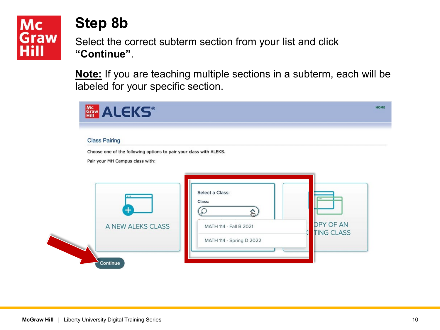

### **Step 8b**

Select the correct subterm section from your list and click **"Continue"**.

**Note:** If you are teaching multiple sections in a subterm, each will be labeled for your specific section.

| <b>Class Pairing</b>                                               |                           |                   |
|--------------------------------------------------------------------|---------------------------|-------------------|
| Choose one of the following options to pair your class with ALEKS. |                           |                   |
| Pair your MH Campus class with:                                    |                           |                   |
|                                                                    |                           |                   |
|                                                                    |                           |                   |
| $\overline{1}$                                                     | Select a Class:<br>Class: | ***               |
|                                                                    |                           |                   |
|                                                                    |                           |                   |
| A NEW ALEKS CLASS                                                  | MATH 114 - Fall B 2021    | <b>OPY OF AN</b>  |
|                                                                    | MATH 114 - Spring D 2022  | <b>TING CLASS</b> |
|                                                                    |                           |                   |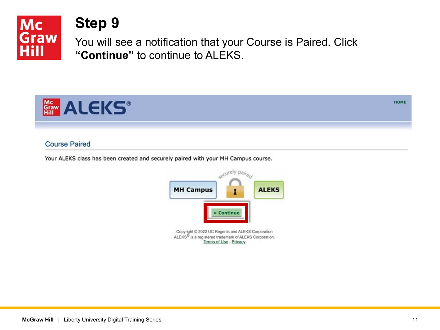

You will see a notification that your Course is Paired. Click **"Continue"** to continue to ALEKS.



#### **Course Paired**

Your ALEKS class has been created and securely paired with your MH Campus course.



**HOME**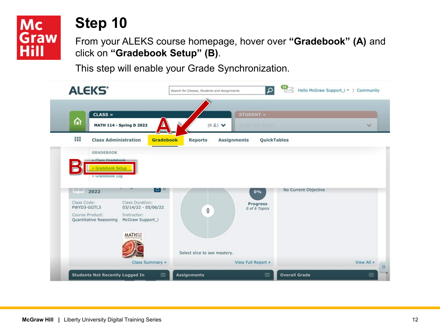#### **Mc** Graw Hill

### **Step 10**

From your ALEKS course homepage, hover over **"Gradebook" (A)** and click on **"Gradebook Setup" (B)**.

This step will enable your Grade Synchronization.

| <b>ALEKS*</b>                                                                                                  | Search for Classes, Students and Assignments                          | $\alpha$<br>Hello McGraw Support_i *   Community |
|----------------------------------------------------------------------------------------------------------------|-----------------------------------------------------------------------|--------------------------------------------------|
| <b>CLASS »</b><br>⋒<br><b>MATH 114 - Spring D 2022</b>                                                         | <b>STUDENT »</b><br>$(0 \triangleq)$ $\vee$<br>Enter Your Search<br>E | $\checkmark$                                     |
| 田<br><b>Class Administration</b><br><b>GRADEBOOK</b><br>» Class Gradebook<br>» Gradebook Setup                 | <b>Gradebook</b><br><b>Reports</b><br>Assignments                     | QuickTables                                      |
| » Gradebook Log<br>1933-1937<br>2022<br>Class Code:<br>Class Duration:<br>PWYD3-GGTL3<br>$03/14/22 - 05/06/22$ | ت ره ا<br>0%<br>Progress<br>0 of 6 Topics                             | No Current Objective                             |
| Course Product:<br>Instructor:                                                                                 | 0                                                                     |                                                  |
| Quantitative Reasoning<br>McGraw Support_i<br><b>MATH</b> <sup>822</sup>                                       |                                                                       |                                                  |
| Class Summary »                                                                                                | Select slice to see mastery.<br>View Full Report »                    | View All »                                       |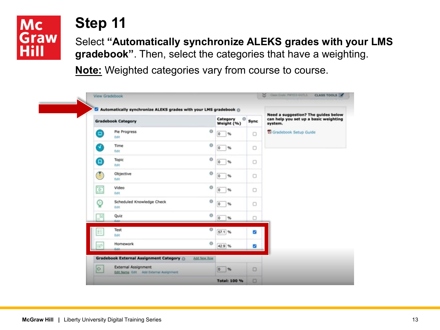

Select **"Automatically synchronize ALEKS grades with your LMS gradebook"**. Then, select the categories that have a weighting.

**Note:** Weighted categories vary from course to course.

|                          | <b>Gradebook Category</b>                         | Category<br>Weight (%)        | $\circ$<br>Sync | Need a suggestion? The guides below<br>can help you set up a basic weighting<br>system. |
|--------------------------|---------------------------------------------------|-------------------------------|-----------------|-----------------------------------------------------------------------------------------|
| Θ                        | Pie Progress<br>Edit                              | o<br>$\circ$<br>$\%$          | $\Box$          | Gradebook Setup Guide                                                                   |
| a                        | Time<br>Edit                                      | $\circ$<br>$\circ$<br>%       | 0               |                                                                                         |
| Θ                        | Topic<br>Edit                                     | $\circ$<br>$\circ$<br>$\%$    | 0               |                                                                                         |
| G                        | Objective<br>fidit:                               | $\circ$<br>$\circ$<br>$\%$    | O               |                                                                                         |
| $\overline{\mathcal{L}}$ | Video<br>Edit                                     | $\circ$<br>$\circ$<br>$\%$    | $\Box$          |                                                                                         |
| ହ                        | Scheduled Knowledge Check<br><b>Edit</b>          | $\circ$<br>$\circ$<br>$\%$    | о               |                                                                                         |
| B                        | Quiz<br>Estat.                                    | $^{\circ}$<br>$\circ$<br>$\%$ | o               |                                                                                         |
| 拦                        | Test<br>Edit                                      | $^{\circ}$<br>57.1 %          | Ø               |                                                                                         |
| Ď                        | Homework<br>Edit:                                 | $\circ$<br>42.9 %             | S               |                                                                                         |
|                          | <b>Gradebook External Assignment Category</b> (b) | Add New Row                   |                 |                                                                                         |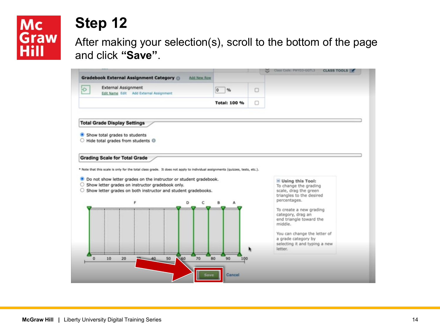# Mc<br>Graw<br>Hill

### **Step 12**

After making your selection(s), scroll to the bottom of the page and click **"Save"**.

|                                                                                                                               |                     |   | Class Code: PWYD3-GGTL3                             | <b>CLASS TOOLS</b> |
|-------------------------------------------------------------------------------------------------------------------------------|---------------------|---|-----------------------------------------------------|--------------------|
| <b>Gradebook External Assignment Category (D)</b><br><b>Add New Row</b>                                                       |                     |   |                                                     |                    |
| <b>External Assignment</b><br>$\Theta$<br>Edit Name Edit Add External Assignment                                              | %<br>$\circ$        | 0 |                                                     |                    |
|                                                                                                                               | <b>Total: 100 %</b> | 0 |                                                     |                    |
| <b>Total Grade Display Settings</b>                                                                                           |                     |   |                                                     |                    |
| Show total grades to students                                                                                                 |                     |   |                                                     |                    |
| Hide total grades from students <sup>®</sup>                                                                                  |                     |   |                                                     |                    |
| <b>Grading Scale for Total Grade</b>                                                                                          |                     |   |                                                     |                    |
| * Note that this scale is only for the total class grade. It does not apply to individual assignments (quizzes, tests, etc.). |                     |   |                                                     |                    |
| Do not show letter grades on the instructor or student gradebook.<br>◉                                                        |                     |   | $=$ Using this Tool:                                |                    |
| ○ Show letter grades on instructor gradebook only.<br>○ Show letter grades on both instructor and student gradebooks.         |                     |   | To change the grading<br>scale, drag the green      |                    |
| F<br>D<br>c                                                                                                                   | B<br>A              |   | triangles to the desired<br>percentages.            |                    |
|                                                                                                                               |                     |   | To create a new grading                             |                    |
|                                                                                                                               |                     |   | category, drag an<br>end triangle toward the        |                    |
|                                                                                                                               |                     |   | middle.                                             |                    |
|                                                                                                                               |                     |   | You can change the letter of<br>a grade category by |                    |
|                                                                                                                               |                     |   | selecting it and typing a new<br>letter.            |                    |
| 70<br>10<br>0<br>20<br>60<br>50                                                                                               | 80<br>90<br>100     |   |                                                     |                    |
|                                                                                                                               |                     |   |                                                     |                    |
|                                                                                                                               | Cancel<br>Save      |   |                                                     |                    |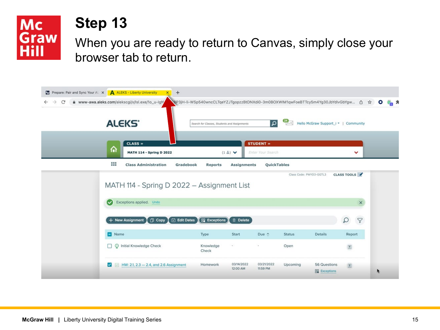

When you are ready to return to Canvas, simply close your browser tab to return.